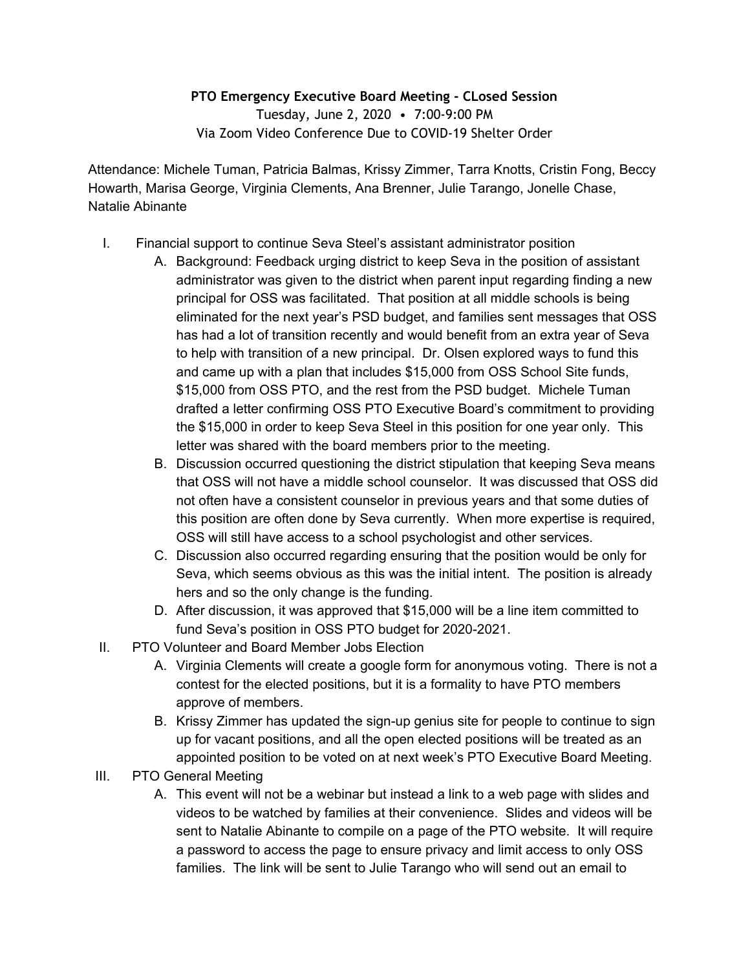## **PTO Emergency Executive Board Meeting - CLosed Session**

Tuesday, June 2, 2020 • 7:00-9:00 PM Via Zoom Video Conference Due to COVID-19 Shelter Order

Attendance: Michele Tuman, Patricia Balmas, Krissy Zimmer, Tarra Knotts, Cristin Fong, Beccy Howarth, Marisa George, Virginia Clements, Ana Brenner, Julie Tarango, Jonelle Chase, Natalie Abinante

- I. Financial support to continue Seva Steel's assistant administrator position
	- A. Background: Feedback urging district to keep Seva in the position of assistant administrator was given to the district when parent input regarding finding a new principal for OSS was facilitated. That position at all middle schools is being eliminated for the next year's PSD budget, and families sent messages that OSS has had a lot of transition recently and would benefit from an extra year of Seva to help with transition of a new principal. Dr. Olsen explored ways to fund this and came up with a plan that includes \$15,000 from OSS School Site funds, \$15,000 from OSS PTO, and the rest from the PSD budget. Michele Tuman drafted a letter confirming OSS PTO Executive Board's commitment to providing the \$15,000 in order to keep Seva Steel in this position for one year only. This letter was shared with the board members prior to the meeting.
	- B. Discussion occurred questioning the district stipulation that keeping Seva means that OSS will not have a middle school counselor. It was discussed that OSS did not often have a consistent counselor in previous years and that some duties of this position are often done by Seva currently. When more expertise is required, OSS will still have access to a school psychologist and other services.
	- C. Discussion also occurred regarding ensuring that the position would be only for Seva, which seems obvious as this was the initial intent. The position is already hers and so the only change is the funding.
	- D. After discussion, it was approved that \$15,000 will be a line item committed to fund Seva's position in OSS PTO budget for 2020-2021.
- II. PTO Volunteer and Board Member Jobs Election
	- A. Virginia Clements will create a google form for anonymous voting. There is not a contest for the elected positions, but it is a formality to have PTO members approve of members.
	- B. Krissy Zimmer has updated the sign-up genius site for people to continue to sign up for vacant positions, and all the open elected positions will be treated as an appointed position to be voted on at next week's PTO Executive Board Meeting.
- III. PTO General Meeting
	- A. This event will not be a webinar but instead a link to a web page with slides and videos to be watched by families at their convenience. Slides and videos will be sent to Natalie Abinante to compile on a page of the PTO website. It will require a password to access the page to ensure privacy and limit access to only OSS families. The link will be sent to Julie Tarango who will send out an email to